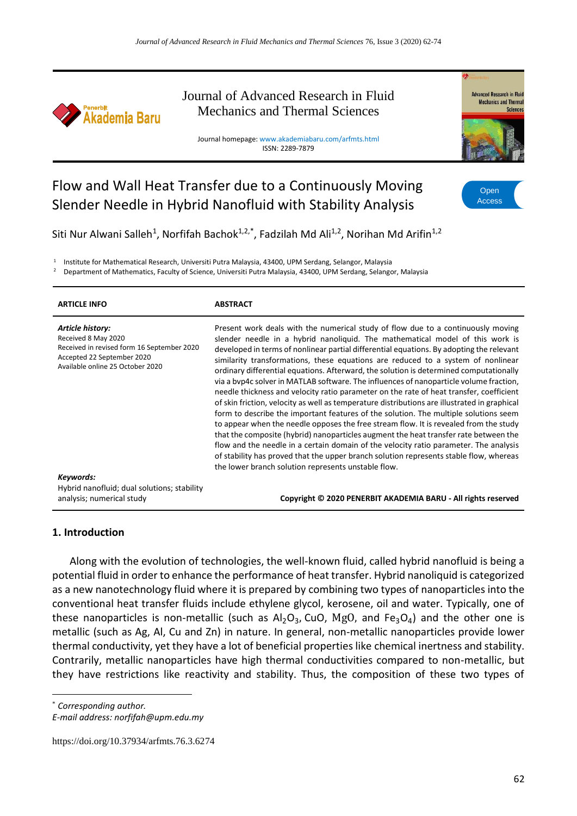

Journal of Advanced Research in Fluid Mechanics and Thermal Sciences

Journal homepage: www.akademiabaru.com/arfmts.html ISSN: 2289-7879



# Flow and Wall Heat Transfer due to a Continuously Moving Slender Needle in Hybrid Nanofluid with Stability Analysis

**Open** Access

Siti Nur Alwani Salleh<sup>1</sup>, Norfifah Bachok<sup>1,2,\*</sup>, Fadzilah Md Ali<sup>1,2</sup>, Norihan Md Arifin<sup>1,2</sup>

1 Institute for Mathematical Research, Universiti Putra Malaysia, 43400, UPM Serdang, Selangor, Malaysia

<sup>2</sup> Department of Mathematics, Faculty of Science, Universiti Putra Malaysia, 43400, UPM Serdang, Selangor, Malaysia

| <b>ARTICLE INFO</b>                                                                                                                                     | <b>ABSTRACT</b>                                                                                                                                                                                                                                                                                                                                                                                                                                                                                                                                                                                                                                                                                                                                                                                                                                                                                                                                                                                                                                                                                                                                                                                                                                     |
|---------------------------------------------------------------------------------------------------------------------------------------------------------|-----------------------------------------------------------------------------------------------------------------------------------------------------------------------------------------------------------------------------------------------------------------------------------------------------------------------------------------------------------------------------------------------------------------------------------------------------------------------------------------------------------------------------------------------------------------------------------------------------------------------------------------------------------------------------------------------------------------------------------------------------------------------------------------------------------------------------------------------------------------------------------------------------------------------------------------------------------------------------------------------------------------------------------------------------------------------------------------------------------------------------------------------------------------------------------------------------------------------------------------------------|
| Article history:<br>Received 8 May 2020<br>Received in revised form 16 September 2020<br>Accepted 22 September 2020<br>Available online 25 October 2020 | Present work deals with the numerical study of flow due to a continuously moving<br>slender needle in a hybrid nanoliquid. The mathematical model of this work is<br>developed in terms of nonlinear partial differential equations. By adopting the relevant<br>similarity transformations, these equations are reduced to a system of nonlinear<br>ordinary differential equations. Afterward, the solution is determined computationally<br>via a byp4c solver in MATLAB software. The influences of nanoparticle volume fraction,<br>needle thickness and velocity ratio parameter on the rate of heat transfer, coefficient<br>of skin friction, velocity as well as temperature distributions are illustrated in graphical<br>form to describe the important features of the solution. The multiple solutions seem<br>to appear when the needle opposes the free stream flow. It is revealed from the study<br>that the composite (hybrid) nanoparticles augment the heat transfer rate between the<br>flow and the needle in a certain domain of the velocity ratio parameter. The analysis<br>of stability has proved that the upper branch solution represents stable flow, whereas<br>the lower branch solution represents unstable flow. |
| Keywords:                                                                                                                                               |                                                                                                                                                                                                                                                                                                                                                                                                                                                                                                                                                                                                                                                                                                                                                                                                                                                                                                                                                                                                                                                                                                                                                                                                                                                     |
| Hybrid nanofluid; dual solutions; stability<br>analysis; numerical study                                                                                | Copyright © 2020 PENERBIT AKADEMIA BARU - All rights reserved                                                                                                                                                                                                                                                                                                                                                                                                                                                                                                                                                                                                                                                                                                                                                                                                                                                                                                                                                                                                                                                                                                                                                                                       |

### **1. Introduction**

Along with the evolution of technologies, the well-known fluid, called hybrid nanofluid is being a potential fluid in order to enhance the performance of heat transfer. Hybrid nanoliquid is categorized as a new nanotechnology fluid where it is prepared by combining two types of nanoparticles into the conventional heat transfer fluids include ethylene glycol, kerosene, oil and water. Typically, one of these nanoparticles is non-metallic (such as  $Al_2O_3$ , CuO, MgO, and Fe<sub>3</sub>O<sub>4</sub>) and the other one is metallic (such as Ag, Al, Cu and Zn) in nature. In general, non-metallic nanoparticles provide lower thermal conductivity, yet they have a lot of beneficial properties like chemical inertness and stability. Contrarily, metallic nanoparticles have high thermal conductivities compared to non-metallic, but they have restrictions like reactivity and stability. Thus, the composition of these two types of

\* *Corresponding author.*

*E-mail address: norfifah@upm.edu.my*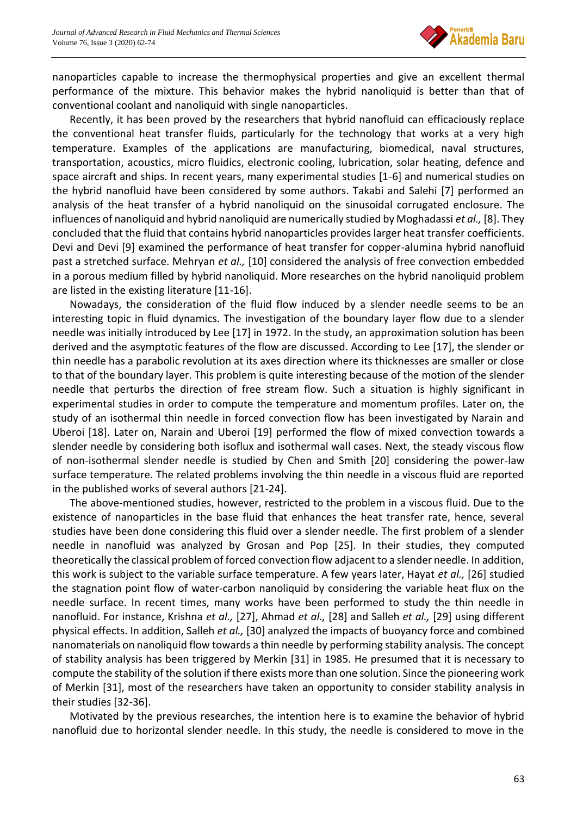

nanoparticles capable to increase the thermophysical properties and give an excellent thermal performance of the mixture. This behavior makes the hybrid nanoliquid is better than that of conventional coolant and nanoliquid with single nanoparticles.

Recently, it has been proved by the researchers that hybrid nanofluid can efficaciously replace the conventional heat transfer fluids, particularly for the technology that works at a very high temperature. Examples of the applications are manufacturing, biomedical, naval structures, transportation, acoustics, micro fluidics, electronic cooling, lubrication, solar heating, defence and space aircraft and ships. In recent years, many experimental studies [1-6] and numerical studies on the hybrid nanofluid have been considered by some authors. Takabi and Salehi [7] performed an analysis of the heat transfer of a hybrid nanoliquid on the sinusoidal corrugated enclosure. The influences of nanoliquid and hybrid nanoliquid are numerically studied by Moghadassi *et al.,* [8]. They concluded that the fluid that contains hybrid nanoparticles provides larger heat transfer coefficients. Devi and Devi [9] examined the performance of heat transfer for copper-alumina hybrid nanofluid past a stretched surface. Mehryan *et al.,* [10] considered the analysis of free convection embedded in a porous medium filled by hybrid nanoliquid. More researches on the hybrid nanoliquid problem are listed in the existing literature [11-16].

Nowadays, the consideration of the fluid flow induced by a slender needle seems to be an interesting topic in fluid dynamics. The investigation of the boundary layer flow due to a slender needle was initially introduced by Lee [17] in 1972. In the study, an approximation solution has been derived and the asymptotic features of the flow are discussed. According to Lee [17], the slender or thin needle has a parabolic revolution at its axes direction where its thicknesses are smaller or close to that of the boundary layer. This problem is quite interesting because of the motion of the slender needle that perturbs the direction of free stream flow. Such a situation is highly significant in experimental studies in order to compute the temperature and momentum profiles. Later on, the study of an isothermal thin needle in forced convection flow has been investigated by Narain and Uberoi [18]. Later on, Narain and Uberoi [19] performed the flow of mixed convection towards a slender needle by considering both isoflux and isothermal wall cases. Next, the steady viscous flow of non-isothermal slender needle is studied by Chen and Smith [20] considering the power-law surface temperature. The related problems involving the thin needle in a viscous fluid are reported in the published works of several authors [21-24].

The above-mentioned studies, however, restricted to the problem in a viscous fluid. Due to the existence of nanoparticles in the base fluid that enhances the heat transfer rate, hence, several studies have been done considering this fluid over a slender needle. The first problem of a slender needle in nanofluid was analyzed by Grosan and Pop [25]. In their studies, they computed theoretically the classical problem of forced convection flow adjacent to a slender needle. In addition, this work is subject to the variable surface temperature. A few years later, Hayat *et al.,* [26] studied the stagnation point flow of water-carbon nanoliquid by considering the variable heat flux on the needle surface. In recent times, many works have been performed to study the thin needle in nanofluid. For instance, Krishna *et al.,* [27], Ahmad *et al.,* [28] and Salleh *et al.,* [29] using different physical effects. In addition, Salleh *et al.,* [30] analyzed the impacts of buoyancy force and combined nanomaterials on nanoliquid flow towards a thin needle by performing stability analysis. The concept of stability analysis has been triggered by Merkin [31] in 1985. He presumed that it is necessary to compute the stability of the solution if there exists more than one solution. Since the pioneering work of Merkin [31], most of the researchers have taken an opportunity to consider stability analysis in their studies [32-36].

Motivated by the previous researches, the intention here is to examine the behavior of hybrid nanofluid due to horizontal slender needle. In this study, the needle is considered to move in the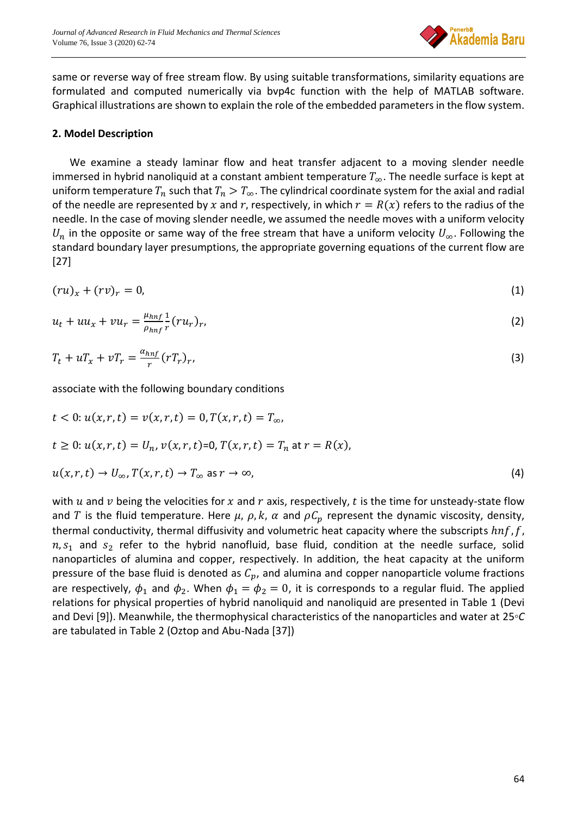

same or reverse way of free stream flow. By using suitable transformations, similarity equations are formulated and computed numerically via bvp4c function with the help of MATLAB software. Graphical illustrations are shown to explain the role of the embedded parameters in the flow system.

# **2. Model Description**

We examine a steady laminar flow and heat transfer adjacent to a moving slender needle immersed in hybrid nanoliquid at a constant ambient temperature  $T_{\infty}$ . The needle surface is kept at uniform temperature  $T_n$  such that  $T_n > T_\infty$ . The cylindrical coordinate system for the axial and radial of the needle are represented by x and r, respectively, in which  $r = R(x)$  refers to the radius of the needle. In the case of moving slender needle, we assumed the needle moves with a uniform velocity  $U_n$  in the opposite or same way of the free stream that have a uniform velocity  $U_\infty$ . Following the standard boundary layer presumptions, the appropriate governing equations of the current flow are [27]

$$
(ru)_x + (rv)_r = 0,\t\t(1)
$$

$$
u_t + uu_x + vu_r = \frac{\mu_{hnf}}{\rho_{hnf}} \frac{1}{r} (ru_r)_r, \tag{2}
$$

$$
T_t + uT_x + vT_r = \frac{\alpha_{hnf}}{r} (rT_r)_r, \tag{3}
$$

associate with the following boundary conditions

$$
t < 0: u(x, r, t) = v(x, r, t) = 0, T(x, r, t) = T_{\infty},
$$
  
\n
$$
t \ge 0: u(x, r, t) = U_n, v(x, r, t) = 0, T(x, r, t) = T_n \text{ at } r = R(x),
$$
  
\n
$$
u(x, r, t) \rightarrow U_{\infty}, T(x, r, t) \rightarrow T_{\infty} \text{ as } r \rightarrow \infty,
$$
\n(4)

with  $u$  and  $v$  being the velocities for  $x$  and  $r$  axis, respectively,  $t$  is the time for unsteady-state flow and T is the fluid temperature. Here  $\mu$ ,  $\rho$ ,  $k$ ,  $\alpha$  and  $\rho C_p$  represent the dynamic viscosity, density, thermal conductivity, thermal diffusivity and volumetric heat capacity where the subscripts  $hnf$ ,  $f$ ,  $n, s<sub>1</sub>$  and  $s<sub>2</sub>$  refer to the hybrid nanofluid, base fluid, condition at the needle surface, solid nanoparticles of alumina and copper, respectively. In addition, the heat capacity at the uniform pressure of the base fluid is denoted as  $C_p$ , and alumina and copper nanoparticle volume fractions are respectively,  $\phi_1$  and  $\phi_2$ . When  $\phi_1 = \phi_2 = 0$ , it is corresponds to a regular fluid. The applied relations for physical properties of hybrid nanoliquid and nanoliquid are presented in Table 1 (Devi and Devi [9]). Meanwhile, the thermophysical characteristics of the nanoparticles and water at 25*◦C* are tabulated in Table 2 (Oztop and Abu-Nada [37])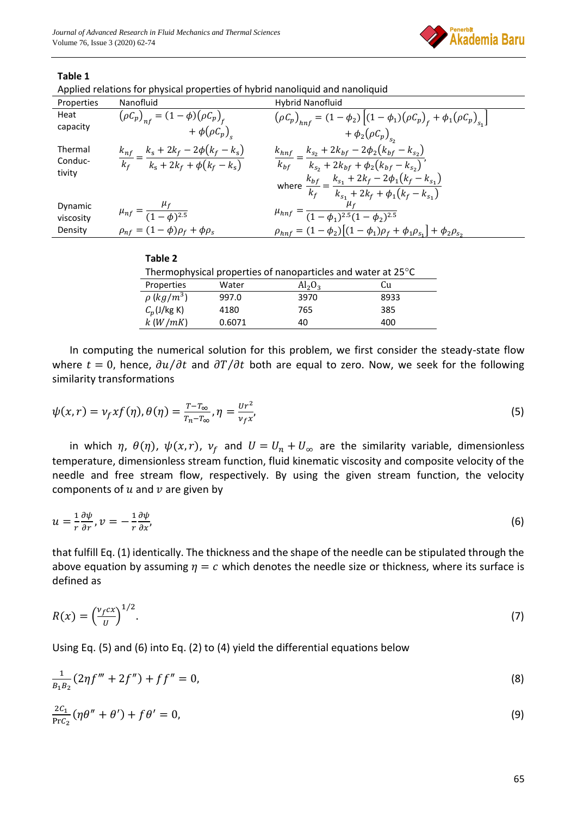

### **Table 1**

| Applied relations for physical properties of hybrid nanoliquid and nanoliquid |  |  |  |
|-------------------------------------------------------------------------------|--|--|--|
|                                                                               |  |  |  |

| Properties        | Nanofluid                                                                                 | Hybrid Nanofluid                                                                                                               |
|-------------------|-------------------------------------------------------------------------------------------|--------------------------------------------------------------------------------------------------------------------------------|
| Heat<br>capacity  | $(\rho C_p)_{n f} = (1 - \phi)(\rho C_p)_{f}$                                             | $(\rho C_p)_{hnf} = (1 - \phi_2) [(1 - \phi_1)(\rho C_p)_{f} + \phi_1 (\rho C_p)_{s} ]$                                        |
|                   | $+ \phi(\rho C_p)$                                                                        | + $\phi_2(\rho C_p)_{s_a}$                                                                                                     |
| Thermal           | $\frac{k_{nf}}{k_f} = \frac{k_s + 2k_f - 2\phi(k_f - k_s)}{k_s + 2k_f + \phi(k_f - k_s)}$ | $\frac{k_{hnf}}{k_{bf}} = \frac{k_{s_2} + 2k_{bf} - 2\phi_2(k_{bf} - k_{s_2})}{k_{s_2} + 2k_{bf} + \phi_2(k_{bf} - k_{s_2})},$ |
| Conduc-<br>tivity |                                                                                           |                                                                                                                                |
|                   |                                                                                           | where $\frac{k_{bf}}{k_f} = \frac{k_{s_1} + 2k_f - 2\phi_1(k_f - k_{s_1})}{k_{s_1} + 2k_f + \phi_1(k_f - k_{s_1})}$            |
|                   |                                                                                           |                                                                                                                                |
| Dynamic           | $\mu_{nf} = \frac{\mu_f}{(1-\phi)^{2.5}}$                                                 | $\mu_{hnf}$<br>$=\frac{1}{(1-\phi_1)^{2.5}(1-\phi_2)^{2.5}}$                                                                   |
| viscosity         |                                                                                           |                                                                                                                                |
| Density           | $\rho_{nf} = (1 - \phi)\rho_f + \phi\rho_s$                                               | $\rho_{hnf} = (1 - \phi_2)[(1 - \phi_1)\rho_f + \phi_1\rho_{s_1}] + \phi_2\rho_{s_2}$                                          |
|                   |                                                                                           |                                                                                                                                |

| able |  |  |  |
|------|--|--|--|
|------|--|--|--|

| Thermophysical properties of nanoparticles and water at $25^{\circ}$ C |        |           |      |
|------------------------------------------------------------------------|--------|-----------|------|
| Properties                                                             | Water  | $Al_2O_3$ | Cи   |
| $\rho$ (kg/m <sup>3</sup> )                                            | 997.0  | 3970      | 8933 |
| $C_p$ (J/kg K)                                                         | 4180   | 765       | 385  |
| k(W/mK)                                                                | 0.6071 | 40        | 400  |

In computing the numerical solution for this problem, we first consider the steady-state flow where  $t = 0$ , hence,  $\frac{\partial u}{\partial t}$  and  $\frac{\partial T}{\partial t}$  both are equal to zero. Now, we seek for the following similarity transformations

$$
\psi(x,r) = v_f x f(\eta), \theta(\eta) = \frac{r - r_{\infty}}{r_n - r_{\infty}}, \eta = \frac{v r^2}{v_f x},
$$
\n(5)

in which  $\eta$ ,  $\theta(\eta)$ ,  $\psi(x, r)$ ,  $\nu_f$  and  $U = U_n + U_\infty$  are the similarity variable, dimensionless temperature, dimensionless stream function, fluid kinematic viscosity and composite velocity of the needle and free stream flow, respectively. By using the given stream function, the velocity components of  $u$  and  $v$  are given by

$$
u = \frac{1}{r} \frac{\partial \psi}{\partial r}, v = -\frac{1}{r} \frac{\partial \psi}{\partial x},
$$
 (6)

that fulfill Eq. (1) identically. The thickness and the shape of the needle can be stipulated through the above equation by assuming  $\eta = c$  which denotes the needle size or thickness, where its surface is defined as

$$
R(x) = \left(\frac{v_f c x}{v}\right)^{1/2}.\tag{7}
$$

Using Eq. (5) and (6) into Eq. (2) to (4) yield the differential equations below

$$
\frac{1}{B_1 B_2} (2\eta f''' + 2f'') + ff'' = 0,
$$
\n(8)

$$
\frac{2C_1}{\text{Pr}C_2}(\eta\theta'' + \theta') + f\theta' = 0,\tag{9}
$$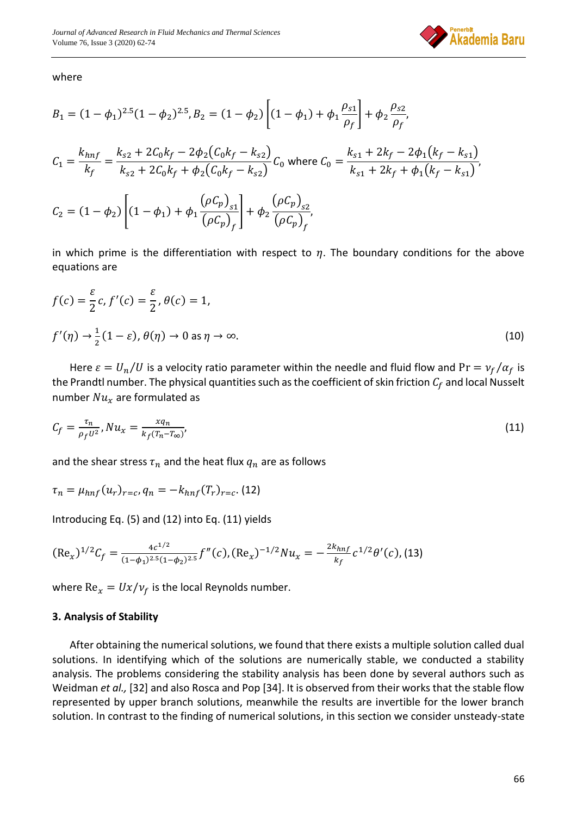

where

$$
B_1 = (1 - \phi_1)^{2.5} (1 - \phi_2)^{2.5}, B_2 = (1 - \phi_2) \left[ (1 - \phi_1) + \phi_1 \frac{\rho_{s1}}{\rho_f} \right] + \phi_2 \frac{\rho_{s2}}{\rho_f},
$$
  
\n
$$
C_1 = \frac{k_{hnf}}{k_f} = \frac{k_{s2} + 2C_0k_f - 2\phi_2(C_0k_f - k_{s2})}{k_{s2} + 2C_0k_f + \phi_2(C_0k_f - k_{s2})} C_0 \text{ where } C_0 = \frac{k_{s1} + 2k_f - 2\phi_1(k_f - k_{s1})}{k_{s1} + 2k_f + \phi_1(k_f - k_{s1})},
$$
  
\n
$$
C_2 = (1 - \phi_2) \left[ (1 - \phi_1) + \phi_1 \frac{(\rho C_p)_{s1}}{(\rho C_p)_f} \right] + \phi_2 \frac{(\rho C_p)_{s2}}{(\rho C_p)_f},
$$

in which prime is the differentiation with respect to  $\eta$ . The boundary conditions for the above equations are

$$
f(c) = \frac{\varepsilon}{2}c, f'(c) = \frac{\varepsilon}{2}, \theta(c) = 1,
$$
  

$$
f'(\eta) \to \frac{1}{2}(1-\varepsilon), \theta(\eta) \to 0 \text{ as } \eta \to \infty.
$$
 (10)

Here  $\varepsilon = U_n/U$  is a velocity ratio parameter within the needle and fluid flow and Pr =  $v_f/\alpha_f$  is the Prandtl number. The physical quantities such as the coefficient of skin friction  $C_f$  and local Nusselt number  $Nu_x$  are formulated as

$$
C_f = \frac{\tau_n}{\rho_f U^2}, N u_x = \frac{x q_n}{k_f (T_n - T_\infty)},
$$
\n(11)

and the shear stress  $\tau_n$  and the heat flux  $q_n$  are as follows

$$
\tau_n = \mu_{hnf}(u_r)_{r=c}, q_n = -k_{hnf}(T_r)_{r=c}.
$$
 (12)

Introducing Eq. (5) and (12) into Eq. (11) yields

$$
(\text{Re}_x)^{1/2} C_f = \frac{4c^{1/2}}{(1-\phi_1)^{2.5}(1-\phi_2)^{2.5}} f''(c), (\text{Re}_x)^{-1/2} N u_x = -\frac{2k_{hnf}}{k_f} c^{1/2} \theta'(c), (13)
$$

where  $Re_x = Ux/v_f$  is the local Reynolds number.

### **3. Analysis of Stability**

After obtaining the numerical solutions, we found that there exists a multiple solution called dual solutions. In identifying which of the solutions are numerically stable, we conducted a stability analysis. The problems considering the stability analysis has been done by several authors such as Weidman *et al.,* [32] and also Rosca and Pop [34]. It is observed from their works that the stable flow represented by upper branch solutions, meanwhile the results are invertible for the lower branch solution. In contrast to the finding of numerical solutions, in this section we consider unsteady-state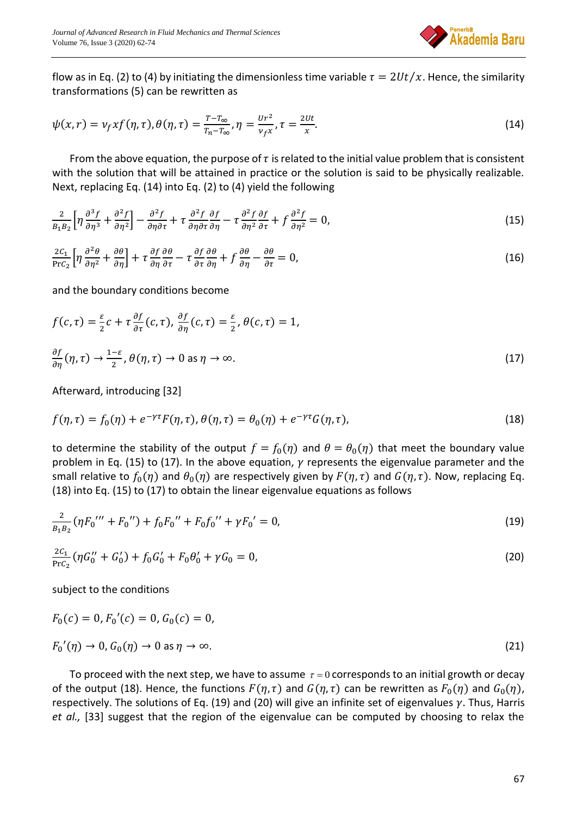

flow as in Eq. (2) to (4) by initiating the dimensionless time variable  $\tau = 2Ut/x$ . Hence, the similarity transformations (5) can be rewritten as

$$
\psi(x,r) = v_f x f(\eta,\tau), \theta(\eta,\tau) = \frac{r - r_{\infty}}{r_n - r_{\infty}}, \eta = \frac{v r^2}{v_f x}, \tau = \frac{2vt}{x}.
$$
\n(14)

From the above equation, the purpose of  $\tau$  is related to the initial value problem that is consistent with the solution that will be attained in practice or the solution is said to be physically realizable. Next, replacing Eq. (14) into Eq. (2) to (4) yield the following

$$
\frac{2}{B_1B_2} \left[ \eta \frac{\partial^3 f}{\partial \eta^3} + \frac{\partial^2 f}{\partial \eta^2} \right] - \frac{\partial^2 f}{\partial \eta \partial \tau} + \tau \frac{\partial^2 f}{\partial \eta \partial \tau} \frac{\partial f}{\partial \eta} - \tau \frac{\partial^2 f}{\partial \eta^2} \frac{\partial f}{\partial \tau} + f \frac{\partial^2 f}{\partial \eta^2} = 0,
$$
\n(15)

$$
\frac{2C_1}{\text{Pr}C_2} \left[ \eta \frac{\partial^2 \theta}{\partial \eta^2} + \frac{\partial \theta}{\partial \eta} \right] + \tau \frac{\partial f}{\partial \eta} \frac{\partial \theta}{\partial \tau} - \tau \frac{\partial f}{\partial \tau} \frac{\partial \theta}{\partial \eta} + f \frac{\partial \theta}{\partial \eta} - \frac{\partial \theta}{\partial \tau} = 0, \tag{16}
$$

and the boundary conditions become

$$
f(c,\tau) = \frac{\varepsilon}{2}c + \tau \frac{\partial f}{\partial \tau}(c,\tau), \frac{\partial f}{\partial \eta}(c,\tau) = \frac{\varepsilon}{2}, \theta(c,\tau) = 1,
$$
  

$$
\frac{\partial f}{\partial \eta}(\eta,\tau) \to \frac{1-\varepsilon}{2}, \theta(\eta,\tau) \to 0 \text{ as } \eta \to \infty.
$$
 (17)

Afterward, introducing [32]

$$
f(\eta,\tau) = f_0(\eta) + e^{-\gamma \tau} F(\eta,\tau), \ \theta(\eta,\tau) = \theta_0(\eta) + e^{-\gamma \tau} G(\eta,\tau), \tag{18}
$$

to determine the stability of the output  $f = f_0(\eta)$  and  $\theta = \theta_0(\eta)$  that meet the boundary value problem in Eq. (15) to (17). In the above equation,  $\gamma$  represents the eigenvalue parameter and the small relative to  $f_0(\eta)$  and  $\theta_0(\eta)$  are respectively given by  $F(\eta, \tau)$  and  $G(\eta, \tau)$ . Now, replacing Eq. (18) into Eq. (15) to (17) to obtain the linear eigenvalue equations as follows

$$
\frac{2}{B_1B_2}(\eta F_0'''' + F_0'') + f_0F_0'' + F_0f_0'' + \gamma F_0' = 0,
$$
\n(19)

$$
\frac{2C_1}{\text{Pr}C_2}(\eta G_0'' + G_0') + f_0 G_0' + F_0 \theta_0' + \gamma G_0 = 0,
$$
\n(20)

subject to the conditions

$$
F_0(c) = 0, F_0'(c) = 0, G_0(c) = 0,
$$
  
\n
$$
F_0'(\eta) \to 0, G_0(\eta) \to 0 \text{ as } \eta \to \infty.
$$
\n(21)

To proceed with the next step, we have to assume  $\tau$  = 0 corresponds to an initial growth or decay of the output (18). Hence, the functions  $F(\eta, \tau)$  and  $G(\eta, \tau)$  can be rewritten as  $F_0(\eta)$  and  $G_0(\eta)$ , respectively. The solutions of Eq. (19) and (20) will give an infinite set of eigenvalues  $\gamma$ . Thus, Harris *et al.,* [33] suggest that the region of the eigenvalue can be computed by choosing to relax the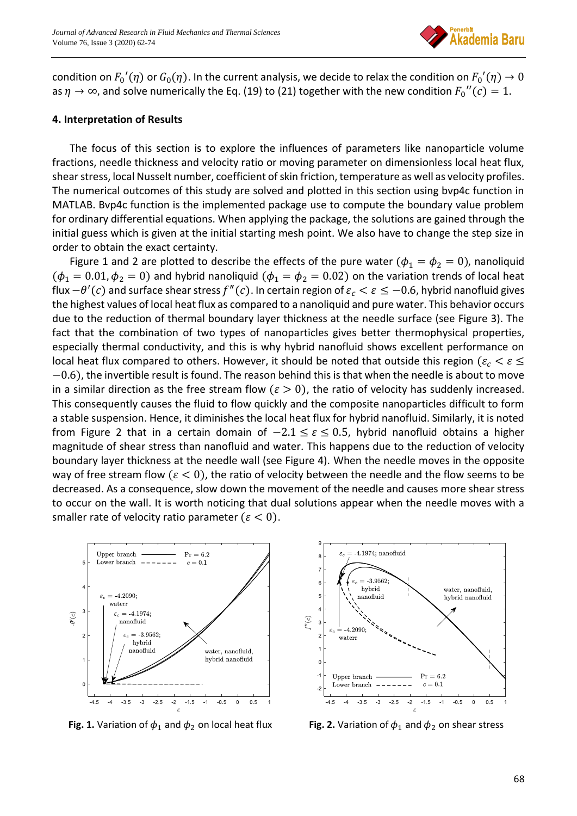

condition on  $F_0'(\eta)$  or  $G_0(\eta)$ . In the current analysis, we decide to relax the condition on  $F_0'(\eta) \to 0$ as  $\eta \to \infty$ , and solve numerically the Eq. (19) to (21) together with the new condition  $F_0^{\prime\prime}(c) = 1$ .

### **4. Interpretation of Results**

The focus of this section is to explore the influences of parameters like nanoparticle volume fractions, needle thickness and velocity ratio or moving parameter on dimensionless local heat flux, shear stress, local Nusselt number, coefficient of skin friction, temperature as well as velocity profiles. The numerical outcomes of this study are solved and plotted in this section using bvp4c function in MATLAB. Bvp4c function is the implemented package use to compute the boundary value problem for ordinary differential equations. When applying the package, the solutions are gained through the initial guess which is given at the initial starting mesh point. We also have to change the step size in order to obtain the exact certainty.

Figure 1 and 2 are plotted to describe the effects of the pure water ( $\phi_1 = \phi_2 = 0$ ), nanoliquid  $(\phi_1 = 0.01, \phi_2 = 0)$  and hybrid nanoliquid  $(\phi_1 = \phi_2 = 0.02)$  on the variation trends of local heat flux  $-\theta'(c)$  and surface shear stress  $f''(c)$ . In certain region of  $\varepsilon_c < \varepsilon \leq -0.6$ , hybrid nanofluid gives the highest values of local heat flux as compared to a nanoliquid and pure water. This behavior occurs due to the reduction of thermal boundary layer thickness at the needle surface (see Figure 3). The fact that the combination of two types of nanoparticles gives better thermophysical properties, especially thermal conductivity, and this is why hybrid nanofluid shows excellent performance on local heat flux compared to others. However, it should be noted that outside this region ( $\varepsilon_c < \varepsilon \leq$ −0.6), the invertible result is found. The reason behind this is that when the needle is about to move in a similar direction as the free stream flow ( $\varepsilon > 0$ ), the ratio of velocity has suddenly increased. This consequently causes the fluid to flow quickly and the composite nanoparticles difficult to form a stable suspension. Hence, it diminishes the local heat flux for hybrid nanofluid. Similarly, it is noted from Figure 2 that in a certain domain of  $-2.1 \le \varepsilon \le 0.5$ , hybrid nanofluid obtains a higher magnitude of shear stress than nanofluid and water. This happens due to the reduction of velocity boundary layer thickness at the needle wall (see Figure 4). When the needle moves in the opposite way of free stream flow ( $\varepsilon < 0$ ), the ratio of velocity between the needle and the flow seems to be decreased. As a consequence, slow down the movement of the needle and causes more shear stress to occur on the wall. It is worth noticing that dual solutions appear when the needle moves with a smaller rate of velocity ratio parameter ( $\varepsilon < 0$ ).



**Fig. 1.** Variation of  $\phi_1$  and  $\phi_2$  on local heat flux **Fig. 2.** Variation of  $\phi_1$  and  $\phi_2$  on shear stress

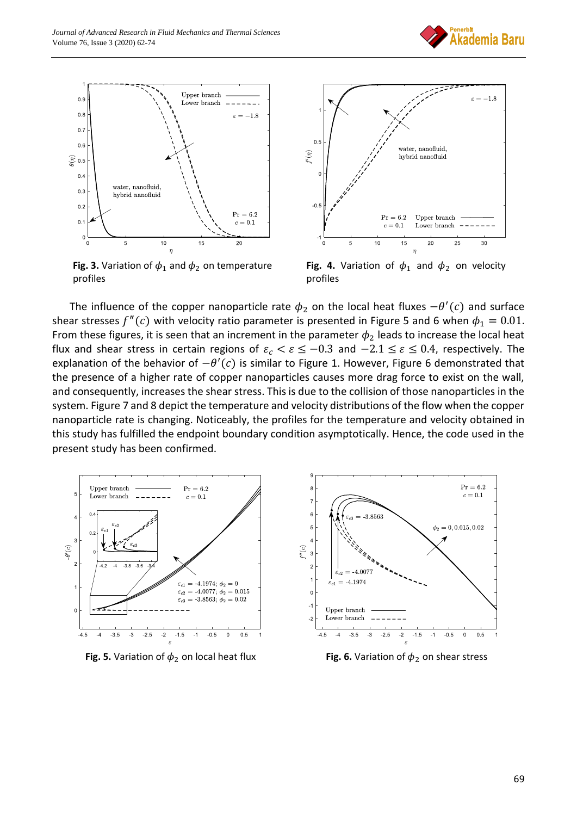



**Fig. 3.** Variation of  $\phi_1$  and  $\phi_2$  on temperature profiles



Fig. 4. Variation of  $\phi_1$  and  $\phi_2$  on velocity profiles

The influence of the copper nanoparticle rate  $\phi_2$  on the local heat fluxes  $-\theta'(c)$  and surface shear stresses  $f''(c)$  with velocity ratio parameter is presented in Figure 5 and 6 when  $\phi_1 = 0.01$ . From these figures, it is seen that an increment in the parameter  $\phi_2$  leads to increase the local heat flux and shear stress in certain regions of  $\varepsilon_c < \varepsilon \leq -0.3$  and  $-2.1 \leq \varepsilon \leq 0.4$ , respectively. The explanation of the behavior of  $-\theta'(c)$  is similar to Figure 1. However, Figure 6 demonstrated that the presence of a higher rate of copper nanoparticles causes more drag force to exist on the wall, and consequently, increases the shear stress. This is due to the collision of those nanoparticles in the system. Figure 7 and 8 depict the temperature and velocity distributions of the flow when the copper nanoparticle rate is changing. Noticeably, the profiles for the temperature and velocity obtained in this study has fulfilled the endpoint boundary condition asymptotically. Hence, the code used in the present study has been confirmed.



**Fig. 5.** Variation of  $\phi_2$  on local heat flux **Fig. 6.** Variation of  $\phi_2$  on shear stress

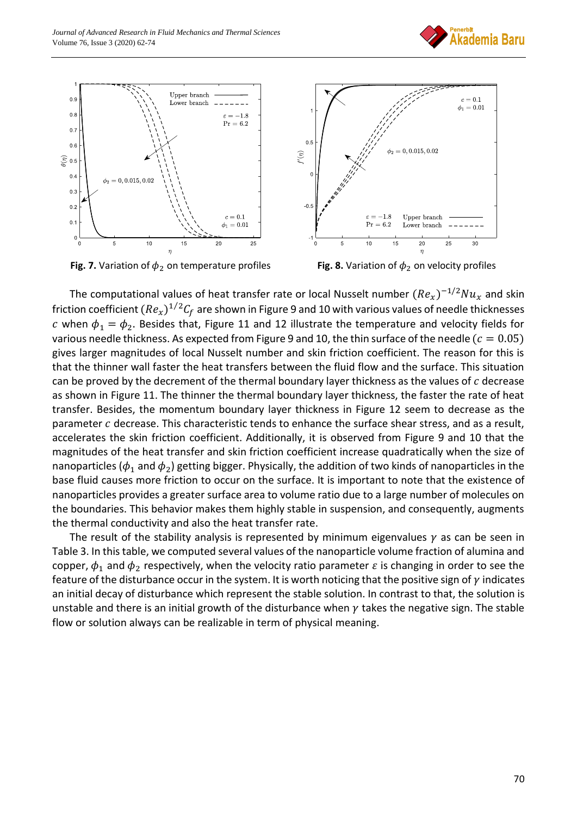



**Fig. 7.** Variation of  $\phi_2$  on temperature profiles **Fig. 8.** Variation of  $\phi_2$  on velocity profiles



The computational values of heat transfer rate or local Nusselt number  $(Re_x)^{-1/2}Nu_x$  and skin friction coefficient  $(Re_x)^{1/2} \mathcal{C}_f$  are shown in Figure 9 and 10 with various values of needle thicknesses c when  $\phi_1 = \phi_2$ . Besides that, Figure 11 and 12 illustrate the temperature and velocity fields for various needle thickness. As expected from Figure 9 and 10, the thin surface of the needle ( $c = 0.05$ ) gives larger magnitudes of local Nusselt number and skin friction coefficient. The reason for this is that the thinner wall faster the heat transfers between the fluid flow and the surface. This situation can be proved by the decrement of the thermal boundary layer thickness as the values of  $c$  decrease as shown in Figure 11. The thinner the thermal boundary layer thickness, the faster the rate of heat transfer. Besides, the momentum boundary layer thickness in Figure 12 seem to decrease as the parameter  $c$  decrease. This characteristic tends to enhance the surface shear stress, and as a result, accelerates the skin friction coefficient. Additionally, it is observed from Figure 9 and 10 that the magnitudes of the heat transfer and skin friction coefficient increase quadratically when the size of nanoparticles ( $\phi_1$  and  $\phi_2$ ) getting bigger. Physically, the addition of two kinds of nanoparticles in the base fluid causes more friction to occur on the surface. It is important to note that the existence of nanoparticles provides a greater surface area to volume ratio due to a large number of molecules on the boundaries. This behavior makes them highly stable in suspension, and consequently, augments the thermal conductivity and also the heat transfer rate.

The result of the stability analysis is represented by minimum eigenvalues  $\gamma$  as can be seen in Table 3. In this table, we computed several values of the nanoparticle volume fraction of alumina and copper,  $\phi_1$  and  $\phi_2$  respectively, when the velocity ratio parameter  $\varepsilon$  is changing in order to see the feature of the disturbance occur in the system. It is worth noticing that the positive sign of  $\gamma$  indicates an initial decay of disturbance which represent the stable solution. In contrast to that, the solution is unstable and there is an initial growth of the disturbance when  $\gamma$  takes the negative sign. The stable flow or solution always can be realizable in term of physical meaning.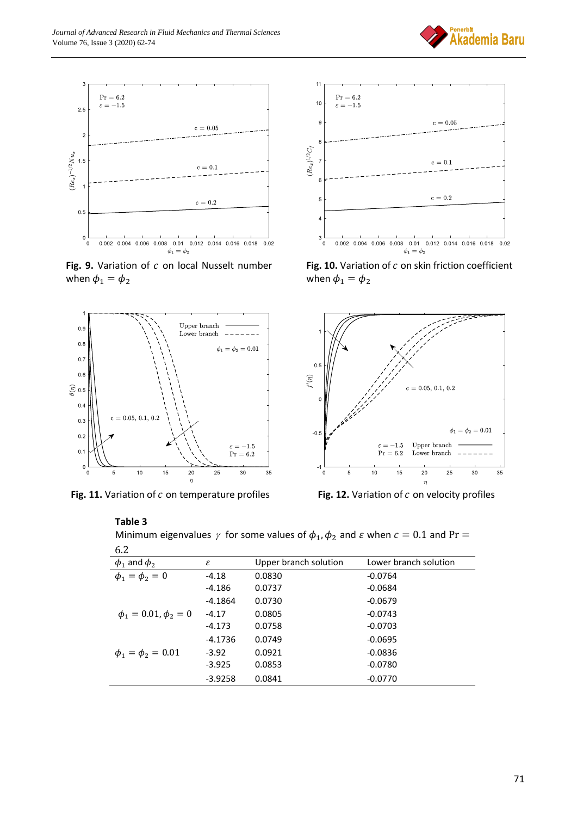

Fig. 9. Variation of c on local Nusselt number when  $\phi_1 = \phi_2$ 



Fig. 11. Variation of c on temperature profiles **Fig. 12.** Variation of c on velocity profiles



**Akademia Baru** 

Fig. 10. Variation of c on skin friction coefficient when  $\phi_1 = \phi_2$ 



#### **Table 3**

Minimum eigenvalues  $\gamma$  for some values of  $\phi_1, \phi_2$  and  $\varepsilon$  when  $c = 0.1$  and Pr =  $6.2$ 

| O.Z                         |           |                       |                       |
|-----------------------------|-----------|-----------------------|-----------------------|
| $\phi_1$ and $\phi_2$       | ε         | Upper branch solution | Lower branch solution |
| $\phi_1 = \phi_2 = 0$       | $-4.18$   | 0.0830                | $-0.0764$             |
|                             | -4.186    | 0.0737                | $-0.0684$             |
|                             | $-4.1864$ | 0.0730                | $-0.0679$             |
| $\phi_1 = 0.01, \phi_2 = 0$ | $-4.17$   | 0.0805                | $-0.0743$             |
|                             | $-4.173$  | 0.0758                | $-0.0703$             |
|                             | $-4.1736$ | 0.0749                | $-0.0695$             |
| $\phi_1 = \phi_2 = 0.01$    | $-3.92$   | 0.0921                | $-0.0836$             |
|                             | $-3.925$  | 0.0853                | $-0.0780$             |
|                             | $-3.9258$ | 0.0841                | $-0.0770$             |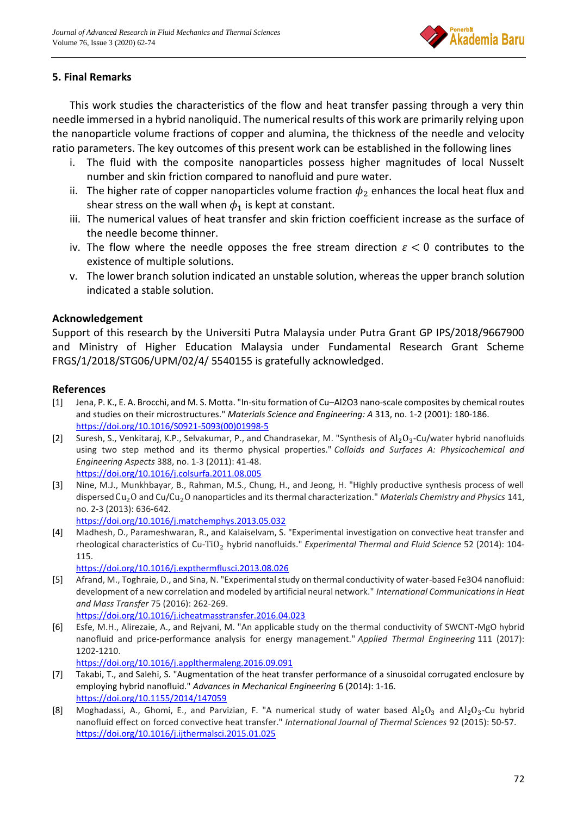

# **5. Final Remarks**

This work studies the characteristics of the flow and heat transfer passing through a very thin needle immersed in a hybrid nanoliquid. The numerical results of this work are primarily relying upon the nanoparticle volume fractions of copper and alumina, the thickness of the needle and velocity ratio parameters. The key outcomes of this present work can be established in the following lines

- i. The fluid with the composite nanoparticles possess higher magnitudes of local Nusselt number and skin friction compared to nanofluid and pure water.
- ii. The higher rate of copper nanoparticles volume fraction  $\phi_2$  enhances the local heat flux and shear stress on the wall when  $\phi_1$  is kept at constant.
- iii. The numerical values of heat transfer and skin friction coefficient increase as the surface of the needle become thinner.
- iv. The flow where the needle opposes the free stream direction  $\varepsilon < 0$  contributes to the existence of multiple solutions.
- v. The lower branch solution indicated an unstable solution, whereas the upper branch solution indicated a stable solution.

# **Acknowledgement**

Support of this research by the Universiti Putra Malaysia under Putra Grant GP IPS/2018/9667900 and Ministry of Higher Education Malaysia under Fundamental Research Grant Scheme FRGS/1/2018/STG06/UPM/02/4/ 5540155 is gratefully acknowledged.

### **References**

- [1] Jena, P. K., E. A. Brocchi, and M. S. Motta. "In-situ formation of Cu–Al2O3 nano-scale composites by chemical routes and studies on their microstructures." *Materials Science and Engineering: A* 313, no. 1-2 (2001): 180-186. [https://doi.org/10.1016/S0921-5093\(00\)01998-5](https://doi.org/10.1016/S0921-5093(00)01998-5)
- [2] Suresh, S., Venkitaraj, K.P., Selvakumar, P., and Chandrasekar, M. "Synthesis of  $\text{Al}_2\text{O}_3$ -Cu/water hybrid nanofluids using two step method and its thermo physical properties." *Colloids and Surfaces A: Physicochemical and Engineering Aspects* 388, no. 1-3 (2011): 41-48. <https://doi.org/10.1016/j.colsurfa.2011.08.005>
- [3] Nine, M.J., Munkhbayar, B., Rahman, M.S., Chung, H., and Jeong, H. "Highly productive synthesis process of well dispersed Cu2O and Cu/Cu2O nanoparticles and its thermal characterization." *Materials Chemistry and Physics* 141, no. 2-3 (2013): 636-642. <https://doi.org/10.1016/j.matchemphys.2013.05.032>
- [4] Madhesh, D., Parameshwaran, R., and Kalaiselvam, S. "Experimental investigation on convective heat transfer and rheological characteristics of Cu-TiO<sub>2</sub> hybrid nanofluids." *Experimental Thermal and Fluid Science* 52 (2014): 104-115.

<https://doi.org/10.1016/j.expthermflusci.2013.08.026>

- [5] Afrand, M., Toghraie, D., and Sina, N. "Experimental study on thermal conductivity of water-based Fe3O4 nanofluid: development of a new correlation and modeled by artificial neural network." *International Communications in Heat and Mass Transfer* 75 (2016): 262-269. <https://doi.org/10.1016/j.icheatmasstransfer.2016.04.023>
- [6] Esfe, M.H., Alirezaie, A., and Rejvani, M. "An applicable study on the thermal conductivity of SWCNT-MgO hybrid nanofluid and price-performance analysis for energy management." *Applied Thermal Engineering* 111 (2017): 1202-1210.

<https://doi.org/10.1016/j.applthermaleng.2016.09.091>

- [7] Takabi, T., and Salehi, S. "Augmentation of the heat transfer performance of a sinusoidal corrugated enclosure by employing hybrid nanofluid." *Advances in Mechanical Engineering* 6 (2014): 1-16. <https://doi.org/10.1155/2014/147059>
- [8] Moghadassi, A., Ghomi, E., and Parvizian, F. "A numerical study of water based  $Al_2O_3$  and  $Al_2O_3$ -Cu hybrid nanofluid effect on forced convective heat transfer." *International Journal of Thermal Sciences* 92 (2015): 50-57. <https://doi.org/10.1016/j.ijthermalsci.2015.01.025>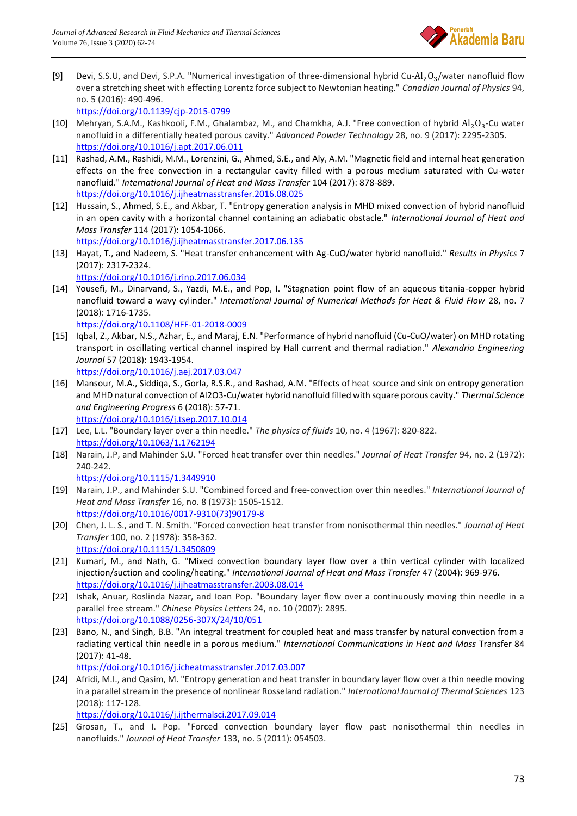

[9] Devi, S.S.U, and Devi, S.P.A. "Numerical investigation of three-dimensional hybrid Cu-Al<sub>2</sub>O<sub>3</sub>/water nanofluid flow over a stretching sheet with effecting Lorentz force subject to Newtonian heating." *Canadian Journal of Physics* 94, no. 5 (2016): 490-496.

<https://doi.org/10.1139/cjp-2015-0799>

- [10] Mehryan, S.A.M., Kashkooli, F.M., Ghalambaz, M., and Chamkha, A.J. "Free convection of hybrid  $Al_2O_3$ -Cu water nanofluid in a differentially heated porous cavity." *Advanced Powder Technology* 28, no. 9 (2017): 2295-2305. <https://doi.org/10.1016/j.apt.2017.06.011>
- [11] Rashad, A.M., Rashidi, M.M., Lorenzini, G., Ahmed, S.E., and Aly, A.M. "Magnetic field and internal heat generation effects on the free convection in a rectangular cavity filled with a porous medium saturated with Cu-water nanofluid." *International Journal of Heat and Mass Transfer* 104 (2017): 878-889. <https://doi.org/10.1016/j.ijheatmasstransfer.2016.08.025>
- [12] Hussain, S., Ahmed, S.E., and Akbar, T. "Entropy generation analysis in MHD mixed convection of hybrid nanofluid in an open cavity with a horizontal channel containing an adiabatic obstacle." *International Journal of Heat and Mass Transfer* 114 (2017): 1054-1066.
- <https://doi.org/10.1016/j.ijheatmasstransfer.2017.06.135>
- [13] Hayat, T., and Nadeem, S. "Heat transfer enhancement with Ag-CuO/water hybrid nanofluid." *Results in Physics* 7 (2017): 2317-2324.

<https://doi.org/10.1016/j.rinp.2017.06.034>

- [14] Yousefi, M., Dinarvand, S., Yazdi, M.E., and Pop, I. "Stagnation point flow of an aqueous titania-copper hybrid nanofluid toward a wavy cylinder." *International Journal of Numerical Methods for Heat & Fluid Flow* 28, no. 7 (2018): 1716-1735. <https://doi.org/10.1108/HFF-01-2018-0009>
- [15] Iqbal, Z., Akbar, N.S., Azhar, E., and Maraj, E.N. "Performance of hybrid nanofluid (Cu-CuO/water) on MHD rotating transport in oscillating vertical channel inspired by Hall current and thermal radiation." *Alexandria Engineering Journal* 57 (2018): 1943-1954. <https://doi.org/10.1016/j.aej.2017.03.047>
- [16] Mansour, M.A., Siddiqa, S., Gorla, R.S.R., and Rashad, A.M. "Effects of heat source and sink on entropy generation and MHD natural convection of Al2O3-Cu/water hybrid nanofluid filled with square porous cavity." *Thermal Science and Engineering Progress* 6 (2018): 57-71. <https://doi.org/10.1016/j.tsep.2017.10.014>
- [17] Lee, L.L. "Boundary layer over a thin needle." *The physics of fluids* 10, no. 4 (1967): 820-822. <https://doi.org/10.1063/1.1762194>
- [18] Narain, J.P, and Mahinder S.U. "Forced heat transfer over thin needles." *Journal of Heat Transfer* 94, no. 2 (1972): 240-242.
	- <https://doi.org/10.1115/1.3449910>
- [19] Narain, J.P., and Mahinder S.U. "Combined forced and free-convection over thin needles." *International Journal of Heat and Mass Transfer* 16, no. 8 (1973): 1505-1512. [https://doi.org/10.1016/0017-9310\(73\)90179-8](https://doi.org/10.1016/0017-9310(73)90179-8)
- [20] Chen, J. L. S., and T. N. Smith. "Forced convection heat transfer from nonisothermal thin needles." *Journal of Heat Transfer* 100, no. 2 (1978): 358-362. <https://doi.org/10.1115/1.3450809>
- [21] Kumari, M., and Nath, G. "Mixed convection boundary layer flow over a thin vertical cylinder with localized injection/suction and cooling/heating." *International Journal of Heat and Mass Transfer* 47 (2004): 969-976. <https://doi.org/10.1016/j.ijheatmasstransfer.2003.08.014>
- [22] Ishak, Anuar, Roslinda Nazar, and Ioan Pop. "Boundary layer flow over a continuously moving thin needle in a parallel free stream." *Chinese Physics Letters* 24, no. 10 (2007): 2895. <https://doi.org/10.1088/0256-307X/24/10/051>
- [23] Bano, N., and Singh, B.B. "An integral treatment for coupled heat and mass transfer by natural convection from a radiating vertical thin needle in a porous medium." *International Communications in Heat and Mass* Transfer 84 (2017): 41-48.

<https://doi.org/10.1016/j.icheatmasstransfer.2017.03.007>

[24] Afridi, M.I., and Qasim, M. "Entropy generation and heat transfer in boundary layer flow over a thin needle moving in a parallel stream in the presence of nonlinear Rosseland radiation." *International Journal of Thermal Sciences* 123 (2018): 117-128.

<https://doi.org/10.1016/j.ijthermalsci.2017.09.014>

[25] Grosan, T., and I. Pop. "Forced convection boundary layer flow past nonisothermal thin needles in nanofluids." *Journal of Heat Transfer* 133, no. 5 (2011): 054503.